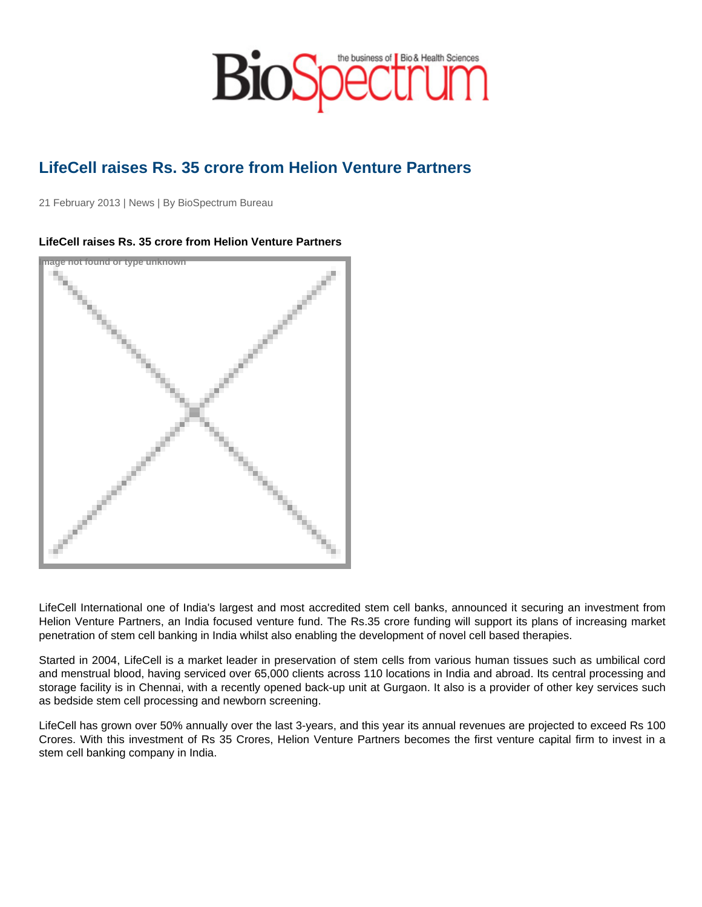## LifeCell raises Rs. 35 crore from Helion Venture Partners

21 February 2013 | News | By BioSpectrum Bureau

## LifeCell raises Rs. 35 crore from Helion Venture Partners

Image not found or type unknown

LifeCell International one of India's largest and most accredited stem cell banks, announced it securing an investment from Helion Venture Partners, an India focused venture fund. The Rs.35 crore funding will support its plans of increasing market penetration of stem cell banking in India whilst also enabling the development of novel cell based therapies.

Started in 2004, LifeCell is a market leader in preservation of stem cells from various human tissues such as umbilical cord and menstrual blood, having serviced over 65,000 clients across 110 locations in India and abroad. Its central processing and storage facility is in Chennai, with a recently opened back-up unit at Gurgaon. It also is a provider of other key services such as bedside stem cell processing and newborn screening.

LifeCell has grown over 50% annually over the last 3-years, and this year its annual revenues are projected to exceed Rs 100 Crores. With this investment of Rs 35 Crores, Helion Venture Partners becomes the first venture capital firm to invest in a stem cell banking company in India.